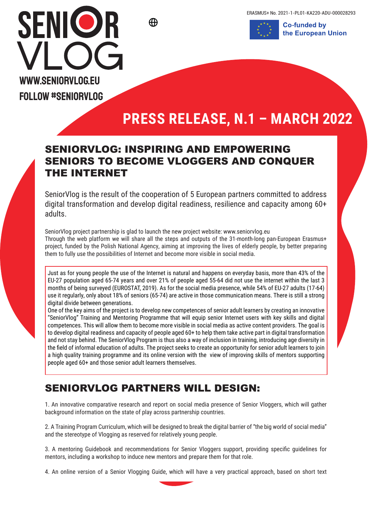ERASMUS+ No. 2021-1-PL01-KA220-ADU-000028293





## **PRESS RELEASE, N.1 – MARCH 2022**

## SENIORVLOG: INSPIRING AND EMPOWERING SENIORS TO BECOME VLOGGERS AND CONQUER THE INTERNET

SeniorVlog is the result of the cooperation of 5 European partners committed to address digital transformation and develop digital readiness, resilience and capacity among 60+ adults.

SeniorVlog project partnership is glad to launch the new project website: www.seniorvlog.eu Through the web platform we will share all the steps and outputs of the 31-month-long pan-European Erasmus+ project, funded by the Polish National Agency, aiming at improving the lives of elderly people, by better preparing them to fully use the possibilities of Internet and become more visible in social media.

Just as for young people the use of the Internet is natural and happens on everyday basis, more than 43% of the EU-27 population aged 65-74 years and over 21% of people aged 55-64 did not use the internet within the last 3 months of being surveyed (EUROSTAT, 2019). As for the social media presence, while 54% of EU-27 adults (17-64) use it regularly, only about 18% of seniors (65-74) are active in those communication means. There is still a strong digital divide between generations.

One of the key aims of the project is to develop new competences of senior adult learners by creating an innovative "SeniorVlog" Training and Mentoring Programme that will equip senior Internet users with key skills and digital competences. This will allow them to become more visible in social media as active content providers. The goal is to develop digital readiness and capacity of people aged 60+ to help them take active part in digital transformation and not stay behind. The SeniorVlog Program is thus also a way of inclusion in training, introducing age diversity in the field of informal education of adults. The project seeks to create an opportunity for senior adult learners to join a high quality training programme and its online version with the view of improving skills of mentors supporting people aged 60+ and those senior adult learners themselves.

## SENIORVLOG PARTNERS WILL DESIGN:

1. An innovative comparative research and report on social media presence of Senior Vloggers, which will gather background information on the state of play across partnership countries.

2. A Training Program Curriculum, which will be designed to break the digital barrier of "the big world of social media" and the stereotype of Vlogging as reserved for relatively young people.

3. A mentoring Guidebook and recommendations for Senior Vloggers support, providing specific guidelines for mentors, including a workshop to induce new mentors and prepare them for that role.

4. An online version of a Senior Vlogging Guide, which will have a very practical approach, based on short text